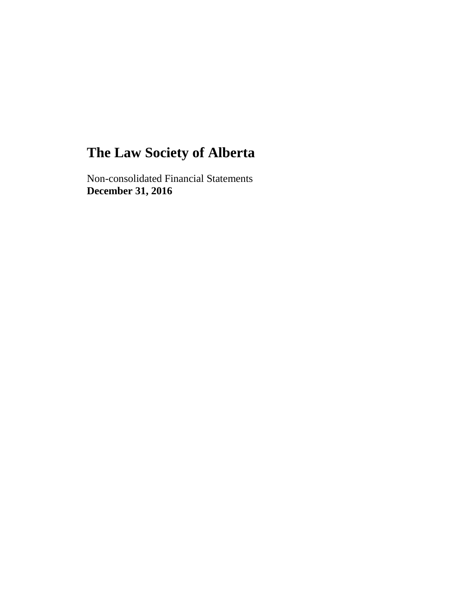Non-consolidated Financial Statements **December 31, 2016**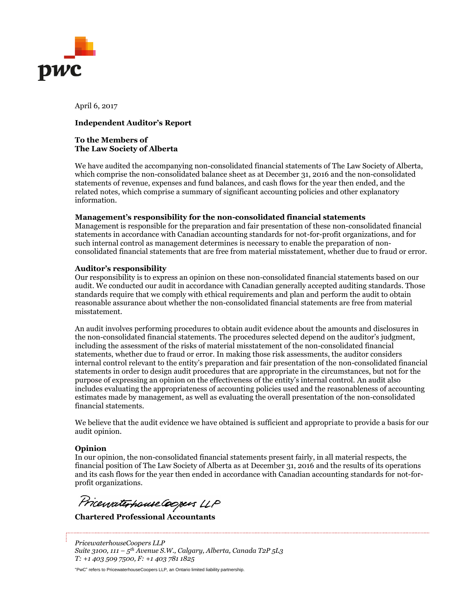

April 6, 2017

#### **Independent Auditor's Report**

#### **To the Members of The Law Society of Alberta**

We have audited the accompanying non-consolidated financial statements of The Law Society of Alberta, which comprise the non-consolidated balance sheet as at December 31, 2016 and the non-consolidated statements of revenue, expenses and fund balances, and cash flows for the year then ended, and the related notes, which comprise a summary of significant accounting policies and other explanatory information.

#### **Management's responsibility for the non-consolidated financial statements**

Management is responsible for the preparation and fair presentation of these non-consolidated financial statements in accordance with Canadian accounting standards for not-for-profit organizations, and for such internal control as management determines is necessary to enable the preparation of nonconsolidated financial statements that are free from material misstatement, whether due to fraud or error.

#### **Auditor's responsibility**

Our responsibility is to express an opinion on these non-consolidated financial statements based on our audit. We conducted our audit in accordance with Canadian generally accepted auditing standards. Those standards require that we comply with ethical requirements and plan and perform the audit to obtain reasonable assurance about whether the non-consolidated financial statements are free from material misstatement.

An audit involves performing procedures to obtain audit evidence about the amounts and disclosures in the non-consolidated financial statements. The procedures selected depend on the auditor's judgment, including the assessment of the risks of material misstatement of the non-consolidated financial statements, whether due to fraud or error. In making those risk assessments, the auditor considers internal control relevant to the entity's preparation and fair presentation of the non-consolidated financial statements in order to design audit procedures that are appropriate in the circumstances, but not for the purpose of expressing an opinion on the effectiveness of the entity's internal control. An audit also includes evaluating the appropriateness of accounting policies used and the reasonableness of accounting estimates made by management, as well as evaluating the overall presentation of the non-consolidated financial statements.

We believe that the audit evidence we have obtained is sufficient and appropriate to provide a basis for our audit opinion.

#### **Opinion**

In our opinion, the non-consolidated financial statements present fairly, in all material respects, the financial position of The Law Society of Alberta as at December 31, 2016 and the results of its operations and its cash flows for the year then ended in accordance with Canadian accounting standards for not-forprofit organizations.

Price*ivatto house* Copers LLP

*PricewaterhouseCoopers LLP Suite 3100, 111 – 5 th Avenue S.W., Calgary, Alberta, Canada T2P 5L3 T: +1 403 509 7500, F: +1 403 781 1825*

"PwC" refers to PricewaterhouseCoopers LLP, an Ontario limited liability partnership.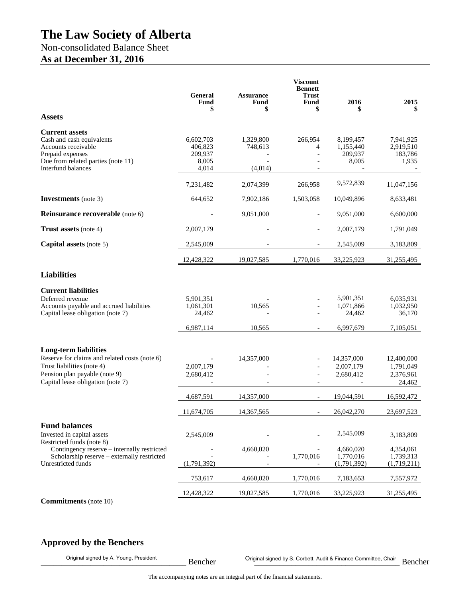## Non-consolidated Balance Sheet **As at December 31, 2016**

#### **Viscount Bennett General Assurance Fund \$ Fund \$ Fund \$ 2016 \$ 2015 \$ Assets Current assets** Cash and cash equivalents 6,602,703 1,329,800 266,954 8,199,457 7,941,925 Accounts receivable 406,823 748,613 4 1,155,440 2,919,510 Prepaid expenses 209,937 - 209,937 183,786<br>Due from related parties (note 11) 209,937 - 209,937 183,786 Due from related parties (note 11) Interfund balances  $4,014$   $(4,014)$   $-$ 7,231,482 2,074,399 266,958 9,572,839 11,047,156 **Investments** (note 3) 644,652 7,902,186 1,503,058 10,049,896 8,633,481 **Reinsurance recoverable** (note 6)  $\qquad \qquad - \qquad \qquad 9,051,000$   $\qquad \qquad - \qquad \qquad 9,051,000$   $\qquad \qquad 6,600,000$ **Trust assets** (note 4) 2,007,179 - 2,007,179 - 2,007,179 1,791,049 **Capital assets** (note 5) 2,545,009 2,545,009 - 2,545,009 3,183,809 12,428,322 19,027,585 1,770,016 33,225,923 31,255,495 **Liabilities Current liabilities** Deferred revenue 5,901,351 6,035,931 6,035,931 6,035,931 6,035,931 6,035,931 6,035,931 6,035,931 6,035,931 6,035,931 6,035,931 6,035,931 6,035,931 6,035,931 6,035,931 6,035,931 6,035,931 6,035,931 6,032,950 6,032,950 6,032 Accounts payable and accrued liabilities Capital lease obligation (note 7) 24,462 - 24,462 36,170 6,987,114 10,565 - 6,997,679 7,105,051 **Long-term liabilities** Reserve for claims and related costs (note 6) **-** 14,357,000 - 14,357,000 12,400,000 Trust liabilities (note 4) 2.007.179 - 2.007.179 - 2.007.179 1.791.049 Pension plan payable (note 9) 2,680,412 - 2,680,412 2,376,961 Capital lease obligation (note 7)  $\qquad -$  -  $\qquad -$  24,462 4,687,591 14,357,000 - 19,044,591 16,592,472 11,674,705 14,367,565 - 26,042,270 23,697,523 **Fund balances** Invested in capital assets 2,545,009 - 2,545,009 3,183,809 Restricted funds (note 8) Contingency reserve – internally restricted  $\begin{array}{cccc} -4,660,020 & -4,660,020 & 4,354,061 \\ -3,4660,020 & -1,770,016 & 1,739,313 \end{array}$ Scholarship reserve – externally restricted - - 1,770,016 1,770,016 1,739,313<br>
estricted funds (1,791,392) - (1,791,392) (1,719,211) Unrestricted funds 753,617 4,660,020 1,770,016 7,183,653 7,557,972 12,428,322 19,027,585 1,770,016 33,225,923 31,255,495

**Commitments** (note 10)

## **Approved by the Benchers**

Original signed by A. Young, President **Exercice Exercise Committee, Chair** Original signed by S. Corbett, Audit & Finance Committee, Chair **Bencher** Bencher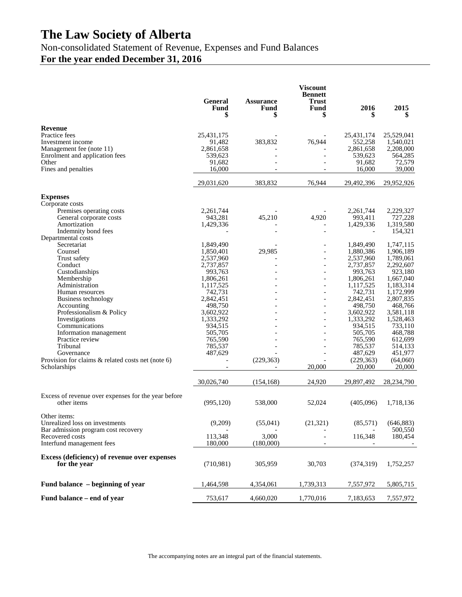Non-consolidated Statement of Revenue, Expenses and Fund Balances

## **For the year ended December 31, 2016**

|                                                     | <b>General</b><br><b>Fund</b><br>\$ | <b>Assurance</b><br><b>Fund</b><br>\$ | <b>Viscount</b><br><b>Bennett</b><br><b>Trust</b><br>Fund<br>\$ | 2016<br>5            | 2015<br>5            |
|-----------------------------------------------------|-------------------------------------|---------------------------------------|-----------------------------------------------------------------|----------------------|----------------------|
| Revenue                                             |                                     |                                       |                                                                 |                      |                      |
| Practice fees                                       | 25,431,175                          |                                       |                                                                 | 25,431,174           | 25,529,041           |
| Investment income                                   | 91,482                              | 383,832                               | 76,944                                                          | 552,258              | 1,540,021            |
| Management fee (note 11)                            | 2,861,658                           |                                       |                                                                 | 2,861,658            | 2,208,000            |
| Enrolment and application fees                      | 539,623                             |                                       |                                                                 | 539,623              | 564,285              |
| Other<br>Fines and penalties                        | 91,682<br>16,000                    |                                       |                                                                 | 91,682<br>16,000     | 72,579<br>39,000     |
|                                                     |                                     |                                       |                                                                 |                      |                      |
|                                                     | 29,031,620                          | 383,832                               | 76,944                                                          | 29,492,396           | 29,952,926           |
| <b>Expenses</b>                                     |                                     |                                       |                                                                 |                      |                      |
| Corporate costs                                     |                                     |                                       |                                                                 |                      |                      |
| Premises operating costs                            | 2,261,744                           |                                       | 4,920                                                           | 2,261,744<br>993,411 | 2,229,327            |
| General corporate costs<br>Amortization             | 943,281<br>1,429,336                | 45,210                                |                                                                 | 1,429,336            | 727,228<br>1,319,580 |
| Indemnity bond fees                                 |                                     |                                       |                                                                 |                      | 154,321              |
| Departmental costs                                  |                                     |                                       |                                                                 |                      |                      |
| Secretariat                                         | 1,849,490                           |                                       |                                                                 | 1,849,490            | 1,747,115            |
| Counsel                                             | 1,850,401                           | 29.985                                |                                                                 | 1,880,386            | 1,906,189            |
| Trust safety                                        | 2,537,960                           |                                       | $\overline{\phantom{0}}$                                        | 2,537,960            | 1,789,061            |
| Conduct                                             | 2,737,857                           |                                       |                                                                 | 2,737,857            | 2,292,607            |
| Custodianships<br>Membership                        | 993,763<br>1,806,261                |                                       |                                                                 | 993,763<br>1,806,261 | 923,180<br>1,667,040 |
| Administration                                      | 1,117,525                           |                                       | $\overline{\phantom{a}}$                                        | 1,117,525            | 1,183,314            |
| Human resources                                     | 742,731                             |                                       |                                                                 | 742,731              | 1,172,999            |
| Business technology                                 | 2,842,451                           |                                       | $\overline{\phantom{0}}$                                        | 2,842,451            | 2,807,835            |
| Accounting                                          | 498,750                             |                                       |                                                                 | 498,750              | 468,766              |
| Professionalism & Policy                            | 3,602,922                           |                                       |                                                                 | 3,602,922            | 3,581,118            |
| Investigations                                      | 1,333,292                           |                                       |                                                                 | 1,333,292            | 1,528,463            |
| Communications                                      | 934,515<br>505,705                  |                                       |                                                                 | 934,515<br>505,705   | 733,110<br>468,788   |
| Information management<br>Practice review           | 765,590                             |                                       |                                                                 | 765,590              | 612,699              |
| Tribunal                                            | 785,537                             |                                       |                                                                 | 785,537              | 514,133              |
| Governance                                          | 487,629                             |                                       |                                                                 | 487,629              | 451,977              |
| Provision for claims & related costs net (note 6)   |                                     | (229, 363)                            |                                                                 | (229, 363)           | (64,060)             |
| Scholarships                                        |                                     |                                       | 20,000                                                          | 20,000               | 20,000               |
|                                                     | 30,026,740                          | (154, 168)                            | 24,920                                                          | 29,897,492           | 28,234,790           |
| Excess of revenue over expenses for the year before |                                     |                                       |                                                                 |                      |                      |
| other items                                         | (995, 120)                          | 538,000                               | 52,024                                                          | (405,096)            | 1,718,136            |
| Other items:<br>Unrealized loss on investments      | (9,209)                             | (55,041)                              | (21, 321)                                                       | (85,571)             | (646, 883)           |
| Bar admission program cost recovery                 |                                     |                                       |                                                                 |                      | 500,550              |
| Recovered costs                                     | 113,348                             | 3,000                                 |                                                                 | 116,348              | 180,454              |
| Interfund management fees                           | 180,000                             | (180,000)                             |                                                                 |                      |                      |
| Excess (deficiency) of revenue over expenses        |                                     |                                       |                                                                 |                      |                      |
| for the year                                        | (710, 981)                          | 305,959                               | 30,703                                                          | (374, 319)           | 1,752,257            |
| Fund balance – beginning of year                    | 1,464,598                           | 4,354,061                             | 1,739,313                                                       | 7,557,972            | 5,805,715            |
| Fund balance – end of year                          | 753,617                             | 4,660,020                             | 1,770,016                                                       | 7,183,653            | 7,557,972            |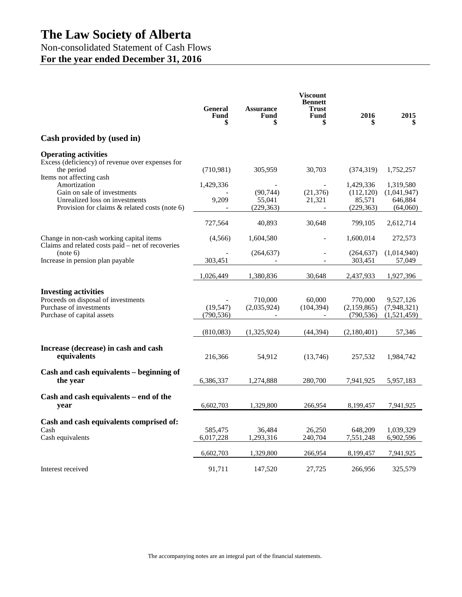Non-consolidated Statement of Cash Flows **For the year ended December 31, 2016**

|                                                                                                                                                               | <b>General</b><br><b>Fund</b><br>\$ | <b>Assurance</b><br>Fund<br>\$    | <b>Viscount</b><br><b>Bennett</b><br><b>Trust</b><br>Fund<br>\$ | 2016                                            | 2015<br>\$                                      |
|---------------------------------------------------------------------------------------------------------------------------------------------------------------|-------------------------------------|-----------------------------------|-----------------------------------------------------------------|-------------------------------------------------|-------------------------------------------------|
| Cash provided by (used in)                                                                                                                                    |                                     |                                   |                                                                 |                                                 |                                                 |
| <b>Operating activities</b><br>Excess (deficiency) of revenue over expenses for<br>the period                                                                 | (710,981)                           | 305,959                           | 30,703                                                          | (374, 319)                                      | 1,752,257                                       |
| Items not affecting cash<br>Amortization<br>Gain on sale of investments<br>Unrealized loss on investments<br>Provision for claims $\&$ related costs (note 6) | 1,429,336<br>9,209                  | (90, 744)<br>55,041<br>(229, 363) | (21, 376)<br>21,321                                             | 1,429,336<br>(112, 120)<br>85,571<br>(229, 363) | 1,319,580<br>(1,041,947)<br>646.884<br>(64,060) |
|                                                                                                                                                               | 727,564                             | 40,893                            | 30,648                                                          | 799,105                                         | 2,612,714                                       |
| Change in non-cash working capital items<br>Claims and related costs paid - net of recoveries                                                                 | (4,566)                             | 1,604,580                         |                                                                 | 1,600,014                                       | 272,573                                         |
| (note 6)<br>Increase in pension plan payable                                                                                                                  | 303,451                             | (264, 637)                        |                                                                 | (264, 637)<br>303,451                           | (1,014,940)<br>57,049                           |
|                                                                                                                                                               | 1,026,449                           | 1,380,836                         | 30,648                                                          | 2,437,933                                       | 1,927,396                                       |
| <b>Investing activities</b><br>Proceeds on disposal of investments<br>Purchase of investments<br>Purchase of capital assets                                   | (19, 547)<br>(790, 536)             | 710,000<br>(2,035,924)            | 60,000<br>(104, 394)                                            | 770,000<br>(2,159,865)<br>(790, 536)            | 9,527,126<br>(7,948,321)<br>(1,521,459)         |
|                                                                                                                                                               | (810,083)                           | (1,325,924)                       | (44, 394)                                                       | (2,180,401)                                     | 57,346                                          |
| Increase (decrease) in cash and cash<br>equivalents                                                                                                           | 216,366                             | 54,912                            | (13,746)                                                        | 257,532                                         | 1,984,742                                       |
| Cash and cash equivalents – beginning of<br>the year                                                                                                          | 6,386,337                           | 1,274,888                         | 280,700                                                         | 7,941,925                                       | 5,957,183                                       |
| Cash and cash equivalents – end of the<br>year                                                                                                                | 6,602,703                           | 1,329,800                         | 266,954                                                         | 8,199,457                                       | 7,941,925                                       |
| Cash and cash equivalents comprised of:<br>Cash<br>Cash equivalents                                                                                           | 585,475<br>6,017,228                | 36,484<br>1,293,316               | 26,250<br>240,704                                               | 648,209<br>7,551,248                            | 1,039,329<br>6,902,596                          |
|                                                                                                                                                               | 6,602,703                           | 1,329,800                         | 266,954                                                         | 8,199,457                                       | 7,941,925                                       |
| Interest received                                                                                                                                             | 91,711                              | 147,520                           | 27,725                                                          | 266,956                                         | 325,579                                         |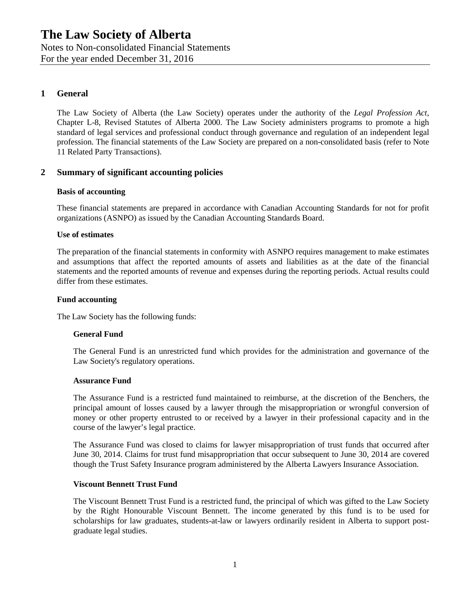Notes to Non-consolidated Financial Statements

For the year ended December 31, 2016

## **1 General**

The Law Society of Alberta (the Law Society) operates under the authority of the *Legal Profession Act*, Chapter L-8, Revised Statutes of Alberta 2000. The Law Society administers programs to promote a high standard of legal services and professional conduct through governance and regulation of an independent legal profession. The financial statements of the Law Society are prepared on a non-consolidated basis (refer to Note 11 Related Party Transactions).

## **2 Summary of significant accounting policies**

#### **Basis of accounting**

These financial statements are prepared in accordance with Canadian Accounting Standards for not for profit organizations (ASNPO) as issued by the Canadian Accounting Standards Board.

#### **Use of estimates**

The preparation of the financial statements in conformity with ASNPO requires management to make estimates and assumptions that affect the reported amounts of assets and liabilities as at the date of the financial statements and the reported amounts of revenue and expenses during the reporting periods. Actual results could differ from these estimates.

#### **Fund accounting**

The Law Society has the following funds:

#### **General Fund**

The General Fund is an unrestricted fund which provides for the administration and governance of the Law Society's regulatory operations.

#### **Assurance Fund**

The Assurance Fund is a restricted fund maintained to reimburse, at the discretion of the Benchers, the principal amount of losses caused by a lawyer through the misappropriation or wrongful conversion of money or other property entrusted to or received by a lawyer in their professional capacity and in the course of the lawyer's legal practice.

The Assurance Fund was closed to claims for lawyer misappropriation of trust funds that occurred after June 30, 2014. Claims for trust fund misappropriation that occur subsequent to June 30, 2014 are covered though the Trust Safety Insurance program administered by the Alberta Lawyers Insurance Association.

#### **Viscount Bennett Trust Fund**

The Viscount Bennett Trust Fund is a restricted fund, the principal of which was gifted to the Law Society by the Right Honourable Viscount Bennett. The income generated by this fund is to be used for scholarships for law graduates, students-at-law or lawyers ordinarily resident in Alberta to support postgraduate legal studies.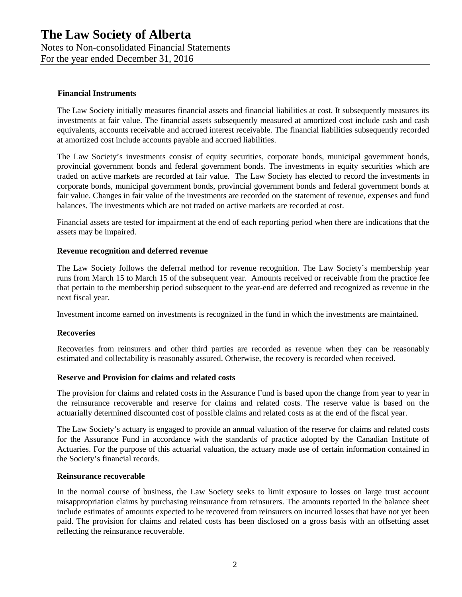Notes to Non-consolidated Financial Statements

For the year ended December 31, 2016

#### **Financial Instruments**

The Law Society initially measures financial assets and financial liabilities at cost. It subsequently measures its investments at fair value. The financial assets subsequently measured at amortized cost include cash and cash equivalents, accounts receivable and accrued interest receivable. The financial liabilities subsequently recorded at amortized cost include accounts payable and accrued liabilities.

The Law Society's investments consist of equity securities, corporate bonds, municipal government bonds, provincial government bonds and federal government bonds. The investments in equity securities which are traded on active markets are recorded at fair value. The Law Society has elected to record the investments in corporate bonds, municipal government bonds, provincial government bonds and federal government bonds at fair value. Changes in fair value of the investments are recorded on the statement of revenue, expenses and fund balances. The investments which are not traded on active markets are recorded at cost.

Financial assets are tested for impairment at the end of each reporting period when there are indications that the assets may be impaired.

#### **Revenue recognition and deferred revenue**

The Law Society follows the deferral method for revenue recognition. The Law Society's membership year runs from March 15 to March 15 of the subsequent year. Amounts received or receivable from the practice fee that pertain to the membership period subsequent to the year-end are deferred and recognized as revenue in the next fiscal year.

Investment income earned on investments is recognized in the fund in which the investments are maintained.

#### **Recoveries**

Recoveries from reinsurers and other third parties are recorded as revenue when they can be reasonably estimated and collectability is reasonably assured. Otherwise, the recovery is recorded when received.

#### **Reserve and Provision for claims and related costs**

The provision for claims and related costs in the Assurance Fund is based upon the change from year to year in the reinsurance recoverable and reserve for claims and related costs. The reserve value is based on the actuarially determined discounted cost of possible claims and related costs as at the end of the fiscal year.

The Law Society's actuary is engaged to provide an annual valuation of the reserve for claims and related costs for the Assurance Fund in accordance with the standards of practice adopted by the Canadian Institute of Actuaries. For the purpose of this actuarial valuation, the actuary made use of certain information contained in the Society's financial records.

#### **Reinsurance recoverable**

In the normal course of business, the Law Society seeks to limit exposure to losses on large trust account misappropriation claims by purchasing reinsurance from reinsurers. The amounts reported in the balance sheet include estimates of amounts expected to be recovered from reinsurers on incurred losses that have not yet been paid. The provision for claims and related costs has been disclosed on a gross basis with an offsetting asset reflecting the reinsurance recoverable.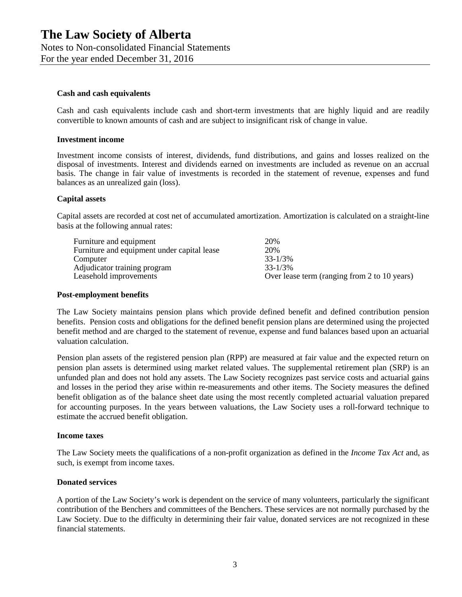Notes to Non-consolidated Financial Statements

For the year ended December 31, 2016

#### **Cash and cash equivalents**

Cash and cash equivalents include cash and short-term investments that are highly liquid and are readily convertible to known amounts of cash and are subject to insignificant risk of change in value.

#### **Investment income**

Investment income consists of interest, dividends, fund distributions, and gains and losses realized on the disposal of investments. Interest and dividends earned on investments are included as revenue on an accrual basis. The change in fair value of investments is recorded in the statement of revenue, expenses and fund balances as an unrealized gain (loss).

#### **Capital assets**

Capital assets are recorded at cost net of accumulated amortization. Amortization is calculated on a straight-line basis at the following annual rates:

| Furniture and equipment                     | 20%                                          |
|---------------------------------------------|----------------------------------------------|
| Furniture and equipment under capital lease | 20%                                          |
| Computer                                    | $33 - 1/3\%$                                 |
| Adjudicator training program                | $33 - 1/3\%$                                 |
| Leasehold improvements                      | Over lease term (ranging from 2 to 10 years) |

#### **Post-employment benefits**

The Law Society maintains pension plans which provide defined benefit and defined contribution pension benefits. Pension costs and obligations for the defined benefit pension plans are determined using the projected benefit method and are charged to the statement of revenue, expense and fund balances based upon an actuarial valuation calculation.

Pension plan assets of the registered pension plan (RPP) are measured at fair value and the expected return on pension plan assets is determined using market related values. The supplemental retirement plan (SRP) is an unfunded plan and does not hold any assets. The Law Society recognizes past service costs and actuarial gains and losses in the period they arise within re-measurements and other items. The Society measures the defined benefit obligation as of the balance sheet date using the most recently completed actuarial valuation prepared for accounting purposes. In the years between valuations, the Law Society uses a roll-forward technique to estimate the accrued benefit obligation.

#### **Income taxes**

The Law Society meets the qualifications of a non-profit organization as defined in the *Income Tax Act* and, as such, is exempt from income taxes.

#### **Donated services**

A portion of the Law Society's work is dependent on the service of many volunteers, particularly the significant contribution of the Benchers and committees of the Benchers. These services are not normally purchased by the Law Society. Due to the difficulty in determining their fair value, donated services are not recognized in these financial statements.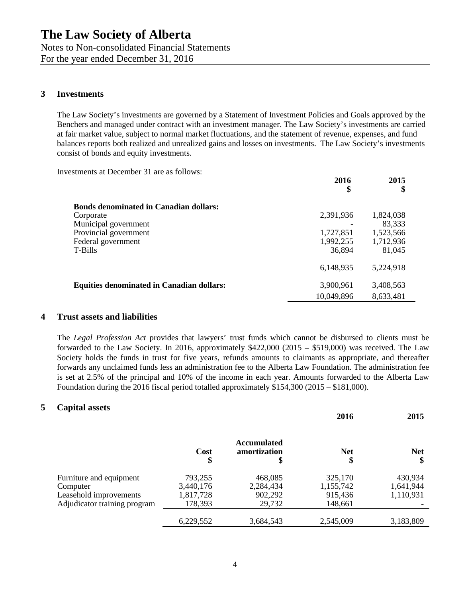## **3 Investments**

The Law Society's investments are governed by a Statement of Investment Policies and Goals approved by the Benchers and managed under contract with an investment manager. The Law Society's investments are carried at fair market value, subject to normal market fluctuations, and the statement of revenue, expenses, and fund balances reports both realized and unrealized gains and losses on investments. The Law Society's investments consist of bonds and equity investments.

**2016**

**2015**

Investments at December 31 are as follows:

|                                                  | 2010<br>\$ | 2013<br>\$ |
|--------------------------------------------------|------------|------------|
| <b>Bonds denominated in Canadian dollars:</b>    |            |            |
| Corporate                                        | 2,391,936  | 1,824,038  |
| Municipal government                             |            | 83,333     |
| Provincial government                            | 1,727,851  | 1,523,566  |
| Federal government                               | 1,992,255  | 1,712,936  |
| T-Bills                                          | 36,894     | 81,045     |
|                                                  | 6,148,935  | 5,224,918  |
| <b>Equities denominated in Canadian dollars:</b> | 3,900,961  | 3,408,563  |
|                                                  | 10,049,896 | 8,633,481  |

## **4 Trust assets and liabilities**

The *Legal Profession Act* provides that lawyers' trust funds which cannot be disbursed to clients must be forwarded to the Law Society. In 2016, approximately \$422,000 (2015 – \$519,000) was received. The Law Society holds the funds in trust for five years, refunds amounts to claimants as appropriate, and thereafter forwards any unclaimed funds less an administration fee to the Alberta Law Foundation. The administration fee is set at 2.5% of the principal and 10% of the income in each year. Amounts forwarded to the Alberta Law Foundation during the 2016 fiscal period totalled approximately \$154,300 (2015 – \$181,000).

## **5 Capital assets**

|                              |            |                                          | 2016             | 2015             |
|------------------------------|------------|------------------------------------------|------------------|------------------|
|                              | Cost<br>\$ | <b>Accumulated</b><br>amortization<br>\$ | <b>Net</b><br>\$ | <b>Net</b><br>\$ |
| Furniture and equipment      | 793,255    | 468,085                                  | 325,170          | 430,934          |
| Computer                     | 3,440,176  | 2,284,434                                | 1,155,742        | 1,641,944        |
| Leasehold improvements       | 1,817,728  | 902,292                                  | 915,436          | 1,110,931        |
| Adjudicator training program | 178,393    | 29,732                                   | 148,661          |                  |
|                              | 6,229,552  | 3,684,543                                | 2,545,009        | 3,183,809        |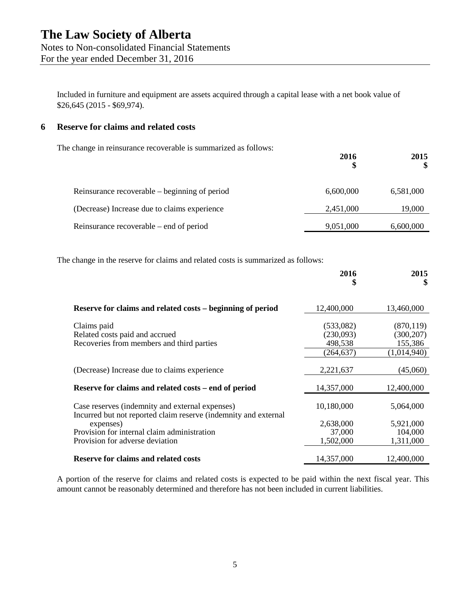Included in furniture and equipment are assets acquired through a capital lease with a net book value of

## **6 Reserve for claims and related costs**

\$26,645 (2015 - \$69,974).

The change in reinsurance recoverable is summarized as follows:

|                                               | 2016      | 2015<br>\$ |
|-----------------------------------------------|-----------|------------|
| Reinsurance recoverable – beginning of period | 6,600,000 | 6,581,000  |
| (Decrease) Increase due to claims experience  | 2,451,000 | 19,000     |
| Reinsurance recoverable – end of period       | 9,051,000 | 6,600,000  |

The change in the reserve for claims and related costs is summarized as follows:

|                                                                                                                                                                                | 2016                                            | 2015<br>\$                                         |
|--------------------------------------------------------------------------------------------------------------------------------------------------------------------------------|-------------------------------------------------|----------------------------------------------------|
| Reserve for claims and related costs – beginning of period                                                                                                                     | 12,400,000                                      | 13,460,000                                         |
| Claims paid<br>Related costs paid and accrued<br>Recoveries from members and third parties                                                                                     | (533,082)<br>(230,093)<br>498,538<br>(264, 637) | (870, 119)<br>(300, 207)<br>155,386<br>(1,014,940) |
| (Decrease) Increase due to claims experience                                                                                                                                   | 2,221,637                                       | (45,060)                                           |
| Reserve for claims and related costs – end of period                                                                                                                           | 14,357,000                                      | 12,400,000                                         |
| Case reserves (indemnity and external expenses)<br>Incurred but not reported claim reserve (indemnity and external<br>expenses)<br>Provision for internal claim administration | 10,180,000<br>2,638,000<br>37,000               | 5,064,000<br>5,921,000<br>104,000                  |
| Provision for adverse deviation<br><b>Reserve for claims and related costs</b>                                                                                                 | 1,502,000<br>14,357,000                         | 1,311,000<br>12,400,000                            |

A portion of the reserve for claims and related costs is expected to be paid within the next fiscal year. This amount cannot be reasonably determined and therefore has not been included in current liabilities.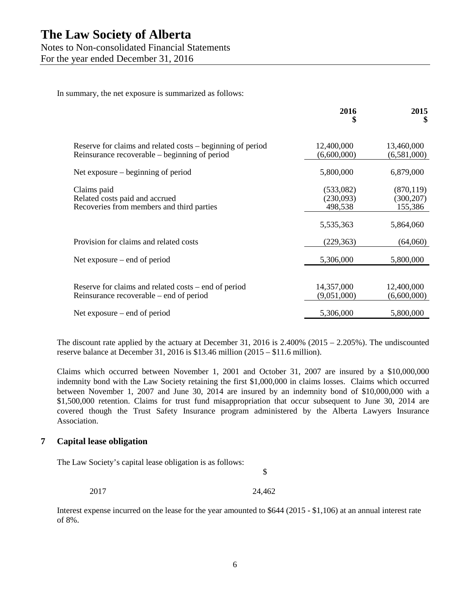Notes to Non-consolidated Financial Statements

For the year ended December 31, 2016

In summary, the net exposure is summarized as follows:

|                                                                                                             | 2016<br>\$                        | 2015<br>S                           |
|-------------------------------------------------------------------------------------------------------------|-----------------------------------|-------------------------------------|
| Reserve for claims and related costs – beginning of period<br>Reinsurance recoverable – beginning of period | 12,400,000<br>(6,600,000)         | 13,460,000<br>(6,581,000)           |
| Net exposure $-$ beginning of period                                                                        | 5,800,000                         | 6,879,000                           |
| Claims paid<br>Related costs paid and accrued<br>Recoveries from members and third parties                  | (533,082)<br>(230,093)<br>498,538 | (870, 119)<br>(300, 207)<br>155,386 |
|                                                                                                             | 5,535,363                         | 5,864,060                           |
| Provision for claims and related costs                                                                      | (229, 363)                        | (64,060)                            |
| Net exposure $-$ end of period                                                                              | 5,306,000                         | 5,800,000                           |
| Reserve for claims and related costs – end of period<br>Reinsurance recoverable – end of period             | 14,357,000<br>(9,051,000)         | 12,400,000<br>(6,600,000)           |
| Net exposure $-$ end of period                                                                              | 5,306,000                         | 5,800,000                           |

The discount rate applied by the actuary at December 31, 2016 is  $2.400\%$  (2015 – 2.205%). The undiscounted reserve balance at December 31, 2016 is \$13.46 million (2015 – \$11.6 million).

Claims which occurred between November 1, 2001 and October 31, 2007 are insured by a \$10,000,000 indemnity bond with the Law Society retaining the first \$1,000,000 in claims losses. Claims which occurred between November 1, 2007 and June 30, 2014 are insured by an indemnity bond of \$10,000,000 with a \$1,500,000 retention. Claims for trust fund misappropriation that occur subsequent to June 30, 2014 are covered though the Trust Safety Insurance program administered by the Alberta Lawyers Insurance Association.

## **7 Capital lease obligation**

The Law Society's capital lease obligation is as follows:

\$

2017 24,462

Interest expense incurred on the lease for the year amounted to \$644 (2015 - \$1,106) at an annual interest rate of 8%.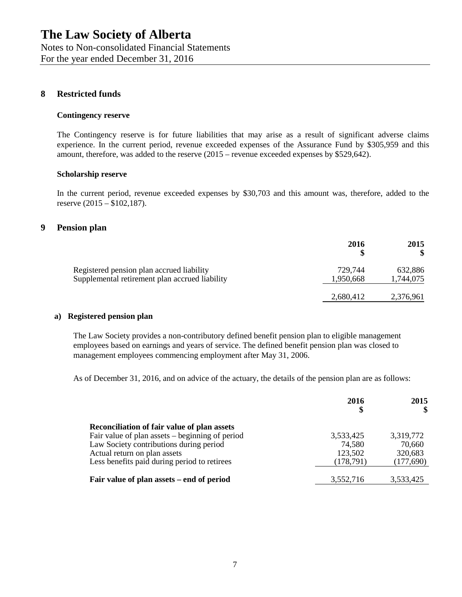## **8 Restricted funds**

#### **Contingency reserve**

The Contingency reserve is for future liabilities that may arise as a result of significant adverse claims experience. In the current period, revenue exceeded expenses of the Assurance Fund by \$305,959 and this amount, therefore, was added to the reserve (2015 – revenue exceeded expenses by \$529,642).

#### **Scholarship reserve**

In the current period, revenue exceeded expenses by \$30,703 and this amount was, therefore, added to the reserve (2015 – \$102,187).

#### **9 Pension plan**

|                                                                                             | 2016                 | 2015                 |
|---------------------------------------------------------------------------------------------|----------------------|----------------------|
| Registered pension plan accrued liability<br>Supplemental retirement plan accrued liability | 729,744<br>1,950,668 | 632,886<br>1,744,075 |
|                                                                                             | 2,680,412            | 2,376,961            |

#### **a) Registered pension plan**

The Law Society provides a non-contributory defined benefit pension plan to eligible management employees based on earnings and years of service. The defined benefit pension plan was closed to management employees commencing employment after May 31, 2006.

As of December 31, 2016, and on advice of the actuary, the details of the pension plan are as follows:

|                                                 | 2016<br>\$ | 2015      |
|-------------------------------------------------|------------|-----------|
| Reconciliation of fair value of plan assets     |            |           |
| Fair value of plan assets – beginning of period | 3,533,425  | 3,319,772 |
| Law Society contributions during period         | 74,580     | 70,660    |
| Actual return on plan assets                    | 123,502    | 320,683   |
| Less benefits paid during period to retirees    | (178,791)  | (177,690) |
|                                                 |            |           |
| Fair value of plan assets – end of period       | 3,552,716  | 3,533,425 |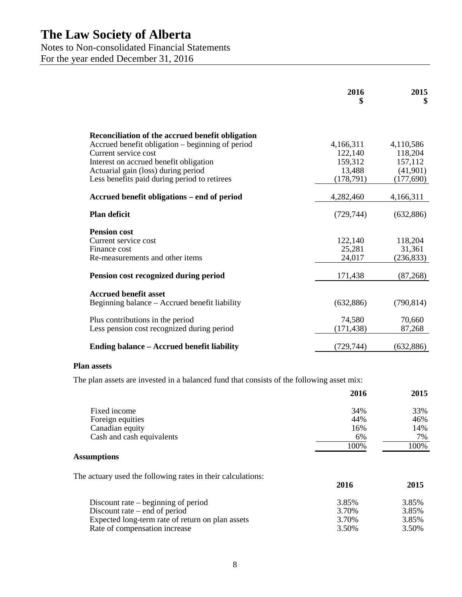Notes to Non-consolidated Financial Statements

For the year ended December 31, 2016

|                                                                               | 2016<br>\$ | 2015<br>\$ |
|-------------------------------------------------------------------------------|------------|------------|
| Reconciliation of the accrued benefit obligation                              |            |            |
| Accrued benefit obligation – beginning of period                              | 4,166,311  | 4,110,586  |
| Current service cost                                                          | 122,140    | 118,204    |
| Interest on accrued benefit obligation                                        | 159,312    | 157,112    |
| Actuarial gain (loss) during period                                           | 13,488     | (41,901)   |
| Less benefits paid during period to retirees                                  | (178, 791) | (177, 690) |
| Accrued benefit obligations – end of period                                   | 4,282,460  | 4,166,311  |
| <b>Plan deficit</b>                                                           | (729, 744) | (632,886)  |
| <b>Pension cost</b>                                                           |            |            |
| Current service cost                                                          | 122,140    | 118,204    |
| Finance cost                                                                  | 25,281     | 31,361     |
| Re-measurements and other items                                               | 24,017     | (236, 833) |
| Pension cost recognized during period                                         | 171,438    | (87,268)   |
|                                                                               |            |            |
| <b>Accrued benefit asset</b><br>Beginning balance – Accrued benefit liability | (632, 886) | (790, 814) |
| Plus contributions in the period                                              | 74,580     | 70,660     |
| Less pension cost recognized during period                                    | (171, 438) | 87,268     |
| Ending balance – Accrued benefit liability                                    | (729,744)  | (632, 886) |
|                                                                               |            |            |

### **Plan assets**

The plan assets are invested in a balanced fund that consists of the following asset mix:

|                           | 2016 | 2015 |
|---------------------------|------|------|
| Fixed income              | 34%  | 33%  |
| Foreign equities          | 44%  | 46%  |
| Canadian equity           | 16%  | 14%  |
| Cash and cash equivalents | 6%   | 7%   |
|                           | 100% | 100% |

## **Assumptions**

The actuary used the following rates in their calculations:

|                                                  | 2016  | 2015  |
|--------------------------------------------------|-------|-------|
| Discount rate $-$ beginning of period            | 3.85% | 3.85% |
| Discount rate $-$ end of period                  | 3.70% | 3.85% |
| Expected long-term rate of return on plan assets | 3.70% | 3.85% |
| Rate of compensation increase                    | 3.50% | 3.50% |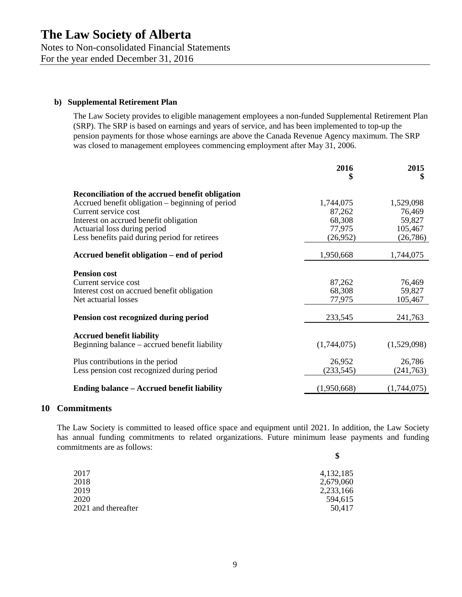## **b) Supplemental Retirement Plan**

The Law Society provides to eligible management employees a non-funded Supplemental Retirement Plan (SRP). The SRP is based on earnings and years of service, and has been implemented to top-up the pension payments for those whose earnings are above the Canada Revenue Agency maximum. The SRP was closed to management employees commencing employment after May 31, 2006.

|                                                                                   | 2016<br>\$  | 2015<br>\$  |
|-----------------------------------------------------------------------------------|-------------|-------------|
| Reconciliation of the accrued benefit obligation                                  |             |             |
| Accrued benefit obligation – beginning of period                                  | 1,744,075   | 1,529,098   |
| Current service cost                                                              | 87,262      | 76,469      |
| Interest on accrued benefit obligation                                            | 68,308      | 59,827      |
| Actuarial loss during period                                                      | 77,975      | 105,467     |
| Less benefits paid during period for retirees                                     | (26,952)    | (26, 786)   |
| Accrued benefit obligation – end of period                                        | 1,950,668   | 1,744,075   |
|                                                                                   |             |             |
| <b>Pension cost</b><br>Current service cost                                       | 87,262      | 76,469      |
| Interest cost on accrued benefit obligation                                       | 68,308      | 59,827      |
| Net actuarial losses                                                              | 77,975      | 105,467     |
|                                                                                   |             |             |
| Pension cost recognized during period                                             | 233,545     | 241,763     |
|                                                                                   |             |             |
| <b>Accrued benefit liability</b><br>Beginning balance – accrued benefit liability | (1,744,075) | (1,529,098) |
| Plus contributions in the period                                                  | 26,952      | 26,786      |
| Less pension cost recognized during period                                        | (233, 545)  | (241, 763)  |
|                                                                                   |             |             |
| Ending balance – Accrued benefit liability                                        | (1,950,668) | (1,744,075) |

#### **10 Commitments**

The Law Society is committed to leased office space and equipment until 2021. In addition, the Law Society has annual funding commitments to related organizations. Future minimum lease payments and funding commitments are as follows:

| \$        |
|-----------|
| 4,132,185 |
| 2,679,060 |
| 2,233,166 |
| 594,615   |
| 50,417    |
|           |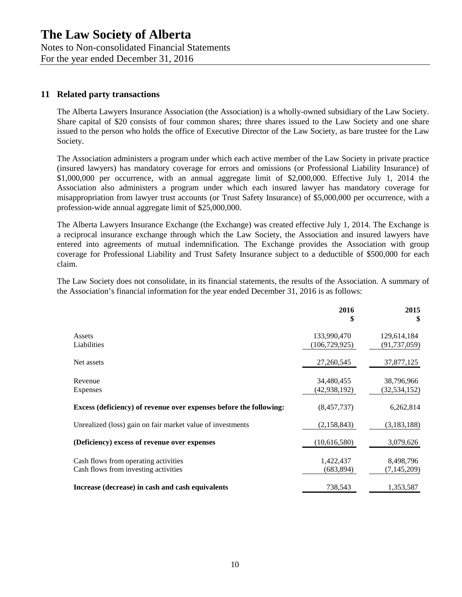## Notes to Non-consolidated Financial Statements

For the year ended December 31, 2016

## **11 Related party transactions**

The Alberta Lawyers Insurance Association (the Association) is a wholly-owned subsidiary of the Law Society. Share capital of \$20 consists of four common shares; three shares issued to the Law Society and one share issued to the person who holds the office of Executive Director of the Law Society, as bare trustee for the Law Society.

The Association administers a program under which each active member of the Law Society in private practice (insured lawyers) has mandatory coverage for errors and omissions (or Professional Liability Insurance) of \$1,000,000 per occurrence, with an annual aggregate limit of \$2,000,000. Effective July 1, 2014 the Association also administers a program under which each insured lawyer has mandatory coverage for misappropriation from lawyer trust accounts (or Trust Safety Insurance) of \$5,000,000 per occurrence, with a profession-wide annual aggregate limit of \$25,000,000.

The Alberta Lawyers Insurance Exchange (the Exchange) was created effective July 1, 2014. The Exchange is a reciprocal insurance exchange through which the Law Society, the Association and insured lawyers have entered into agreements of mutual indemnification. The Exchange provides the Association with group coverage for Professional Liability and Trust Safety Insurance subject to a deductible of \$500,000 for each claim.

The Law Society does not consolidate, in its financial statements, the results of the Association. A summary of the Association's financial information for the year ended December 31, 2016 is as follows:

|                                                                              | 2016<br>\$                     | 2015<br>\$                    |
|------------------------------------------------------------------------------|--------------------------------|-------------------------------|
| Assets<br>Liabilities                                                        | 133,990,470<br>(106, 729, 925) | 129,614,184<br>(91, 737, 059) |
| Net assets                                                                   | 27,260,545                     | 37,877,125                    |
| Revenue<br>Expenses                                                          | 34,480,455<br>(42, 938, 192)   | 38,796,966<br>(32, 534, 152)  |
| Excess (deficiency) of revenue over expenses before the following:           | (8,457,737)                    | 6,262,814                     |
| Unrealized (loss) gain on fair market value of investments                   | (2,158,843)                    | (3,183,188)                   |
| (Deficiency) excess of revenue over expenses                                 | (10,616,580)                   | 3,079,626                     |
| Cash flows from operating activities<br>Cash flows from investing activities | 1,422,437<br>(683, 894)        | 8,498,796<br>(7, 145, 209)    |
| Increase (decrease) in cash and cash equivalents                             | 738,543                        | 1,353,587                     |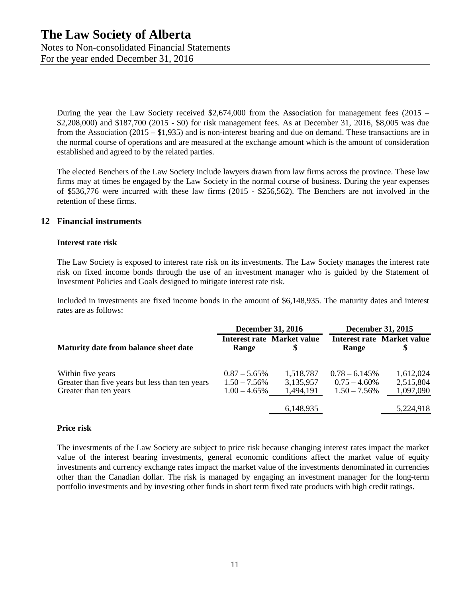Notes to Non-consolidated Financial Statements For the year ended December 31, 2016

During the year the Law Society received \$2,674,000 from the Association for management fees (2015 – \$2,208,000) and \$187,700 (2015 - \$0) for risk management fees. As at December 31, 2016, \$8,005 was due from the Association (2015 – \$1,935) and is non-interest bearing and due on demand. These transactions are in the normal course of operations and are measured at the exchange amount which is the amount of consideration established and agreed to by the related parties.

The elected Benchers of the Law Society include lawyers drawn from law firms across the province. These law firms may at times be engaged by the Law Society in the normal course of business. During the year expenses of \$536,776 were incurred with these law firms (2015 - \$256,562). The Benchers are not involved in the retention of these firms.

## **12 Financial instruments**

#### **Interest rate risk**

The Law Society is exposed to interest rate risk on its investments. The Law Society manages the interest rate risk on fixed income bonds through the use of an investment manager who is guided by the Statement of Investment Policies and Goals designed to mitigate interest rate risk.

Included in investments are fixed income bonds in the amount of \$6,148,935. The maturity dates and interest rates are as follows:

|                                                                                                | <b>December 31, 2016</b>                              |                                     | December 31, 2015                                      |                                         |
|------------------------------------------------------------------------------------------------|-------------------------------------------------------|-------------------------------------|--------------------------------------------------------|-----------------------------------------|
| Maturity date from balance sheet date                                                          | Range                                                 | Interest rate Market value          | Range                                                  | <b>Interest rate Market value</b><br>\$ |
| Within five years<br>Greater than five years but less than ten years<br>Greater than ten years | $0.87 - 5.65\%$<br>$1.50 - 7.56\%$<br>$1.00 - 4.65\%$ | 1,518,787<br>3,135,957<br>1,494,191 | $0.78 - 6.145\%$<br>$0.75 - 4.60\%$<br>$1.50 - 7.56\%$ | 1,612,024<br>2,515,804<br>1,097,090     |
|                                                                                                |                                                       | 6,148,935                           |                                                        | 5,224,918                               |

#### **Price risk**

The investments of the Law Society are subject to price risk because changing interest rates impact the market value of the interest bearing investments, general economic conditions affect the market value of equity investments and currency exchange rates impact the market value of the investments denominated in currencies other than the Canadian dollar. The risk is managed by engaging an investment manager for the long-term portfolio investments and by investing other funds in short term fixed rate products with high credit ratings.